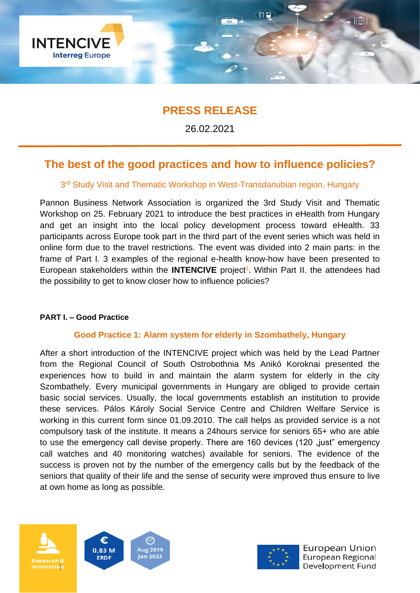

# **PRESS RELEASE**

26.02.2021

# **The best of the good practices and how to influence policies?**

# 3<sup>rd</sup> Study Visit and Thematic Workshop in West-Transdanubian region, Hungary

Pannon Business Network Association is organized the 3rd Study Visit and Thematic Workshop on 25. February 2021 to introduce the best practices in eHealth from Hungary and get an insight into the local policy development process toward eHealth. 33 participants across Europe took part in the third part of the event series which was held in online form due to the travel restrictions. The event was divided into 2 main parts: in the frame of Part I. 3 examples of the regional e-health know-how have been presented to European stakeholders within the **INTENCIVE** project<sup>1</sup>. Within Part II. the attendees had the possibility to get to know closer how to influence policies?

## **PART I. – Good Practice**

## **Good Practice 1: Alarm system for elderly in Szombathely, Hungary**

After a short introduction of the INTENCIVE project which was held by the Lead Partner from the Regional Council of South Ostrobothnia Ms Anikó Koroknai presented the experiences how to build in and maintain the alarm system for elderly in the city Szombathely. Every municipal governments in Hungary are obliged to provide certain basic social services. Usually, the local governments establish an institution to provide these services. Pálos Károly Social Service Centre and Children Welfare Service is working in this current form since 01.09.2010. The call helps as provided service is a not compulsory task of the institute. It means a 24hours service for seniors 65+ who are able to use the emergency call devise properly. There are 160 devices (120 "just" emergency call watches and 40 monitoring watches) available for seniors. The evidence of the success is proven not by the number of the emergency calls but by the feedback of the seniors that quality of their life and the sense of security were improved thus ensure to live at own home as long as possible.





European Union European Regional Development Fund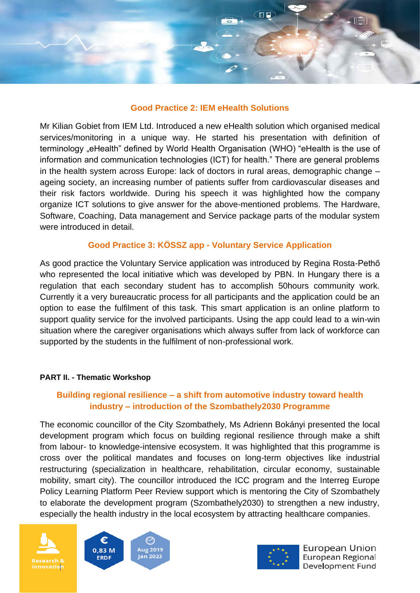

#### **Good Practice 2: IEM eHealth Solutions**

Mr Kilian Gobiet from IEM Ltd. Introduced a new eHealth solution which organised medical services/monitoring in a unique way. He started his presentation with definition of terminology "eHealth" defined by World Health Organisation (WHO) "eHealth is the use of information and communication technologies (ICT) for health." There are general problems in the health system across Europe: lack of doctors in rural areas, demographic change – ageing society, an increasing number of patients suffer from cardiovascular diseases and their risk factors worldwide. During his speech it was highlighted how the company organize ICT solutions to give answer for the above-mentioned problems. The Hardware, Software, Coaching, Data management and Service package parts of the modular system were introduced in detail.

## **Good Practice 3: KÖSSZ app - Voluntary Service Application**

As good practice the Voluntary Service application was introduced by Regina Rosta-Pethő who represented the local initiative which was developed by PBN. In Hungary there is a regulation that each secondary student has to accomplish 50hours community work. Currently it a very bureaucratic process for all participants and the application could be an option to ease the fulfilment of this task. This smart application is an online platform to support quality service for the involved participants. Using the app could lead to a win-win situation where the caregiver organisations which always suffer from lack of workforce can supported by the students in the fulfilment of non-professional work.

#### **PART II. - Thematic Workshop**

## **Building regional resilience – a shift from automotive industry toward health industry – introduction of the Szombathely2030 Programme**

The economic councillor of the City Szombathely, Ms Adrienn Bokányi presented the local development program which focus on building regional resilience through make a shift from labour- to knowledge-intensive ecosystem. It was highlighted that this programme is cross over the political mandates and focuses on long-term objectives like industrial restructuring (specialization in healthcare, rehabilitation, circular economy, sustainable mobility, smart city). The councillor introduced the ICC program and the Interreg Europe Policy Learning Platform Peer Review support which is mentoring the City of Szombathely to elaborate the development program (Szombathely2030) to strengthen a new industry, especially the health industry in the local ecosystem by attracting healthcare companies.







European Union European Regional Development Fund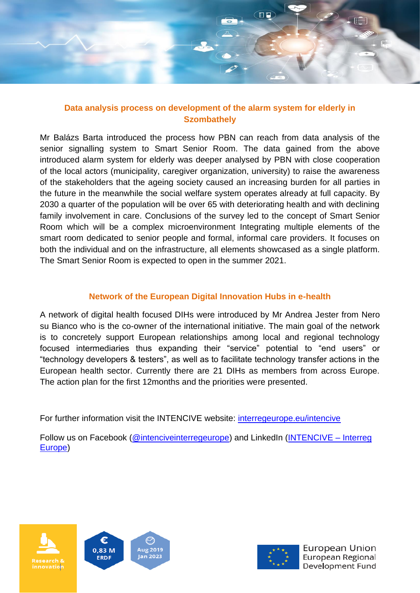

## **Data analysis process on development of the alarm system for elderly in Szombathely**

Mr Balázs Barta introduced the process how PBN can reach from data analysis of the senior signalling system to Smart Senior Room. The data gained from the above introduced alarm system for elderly was deeper analysed by PBN with close cooperation of the local actors (municipality, caregiver organization, university) to raise the awareness of the stakeholders that the ageing society caused an increasing burden for all parties in the future in the meanwhile the social welfare system operates already at full capacity. By 2030 a quarter of the population will be over 65 with deteriorating health and with declining family involvement in care. Conclusions of the survey led to the concept of Smart Senior Room which will be a complex microenvironment Integrating multiple elements of the smart room dedicated to senior people and formal, informal care providers. It focuses on both the individual and on the infrastructure, all elements showcased as a single platform. The Smart Senior Room is expected to open in the summer 2021.

# **Network of the European Digital Innovation Hubs in e-health**

A network of digital health focused DIHs were introduced by Mr Andrea Jester from Nero su Bianco who is the co-owner of the international initiative. The main goal of the network is to concretely support European relationships among local and regional technology focused intermediaries thus expanding their "service" potential to "end users" or "technology developers & testers", as well as to facilitate technology transfer actions in the European health sector. Currently there are 21 DIHs as members from across Europe. The action plan for the first 12months and the priorities were presented.

For further information visit the INTENCIVE website: [interregeurope.eu/intencive](http://www.interregeurope.eu/intencive)

Follow us on Facebook [\(@intenciveinterregeurope\)](https://www.facebook.com/Intencive-project-104553027621984/) and LinkedIn [\(INTENCIVE –](https://www.linkedin.com/in/intencive-project-b84676195/) Interreg [Europe\)](https://www.linkedin.com/in/intencive-project-b84676195/)